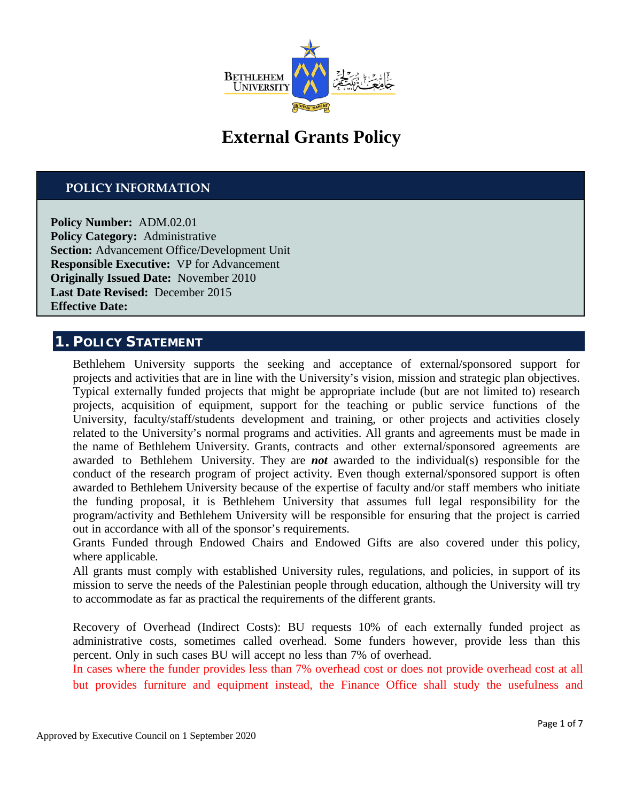

# **External Grants Policy**

## **POLICY INFORMATION**

**Policy Number:** ADM.02.01 **Policy Category:** Administrative **Section:** Advancement Office/Development Unit **Responsible Executive:** VP for Advancement **Originally Issued Date:** November 2010 **Last Date Revised:** December 2015 **Effective Date:**

## **1. POLICY STATEMENT**

Bethlehem University supports the seeking and acceptance of external/sponsored support for projects and activities that are in line with the University's vision, mission and strategic plan objectives. Typical externally funded projects that might be appropriate include (but are not limited to) research projects, acquisition of equipment, support for the teaching or public service functions of the University, faculty/staff/students development and training, or other projects and activities closely related to the University's normal programs and activities. All grants and agreements must be made in the name of Bethlehem University. Grants, contracts and other external/sponsored agreements are awarded to Bethlehem University. They are *not* awarded to the individual(s) responsible for the conduct of the research program of project activity. Even though external/sponsored support is often awarded to Bethlehem University because of the expertise of faculty and/or staff members who initiate the funding proposal, it is Bethlehem University that assumes full legal responsibility for the program/activity and Bethlehem University will be responsible for ensuring that the project is carried out in accordance with all of the sponsor's requirements.

Grants Funded through Endowed Chairs and Endowed Gifts are also covered under this policy, where applicable*.*

All grants must comply with established University rules, regulations, and policies, in support of its mission to serve the needs of the Palestinian people through education, although the University will try to accommodate as far as practical the requirements of the different grants.

Recovery of Overhead (Indirect Costs): BU requests 10% of each externally funded project as administrative costs, sometimes called overhead. Some funders however, provide less than this percent. Only in such cases BU will accept no less than 7% of overhead.

In cases where the funder provides less than 7% overhead cost or does not provide overhead cost at all but provides furniture and equipment instead, the Finance Office shall study the usefulness and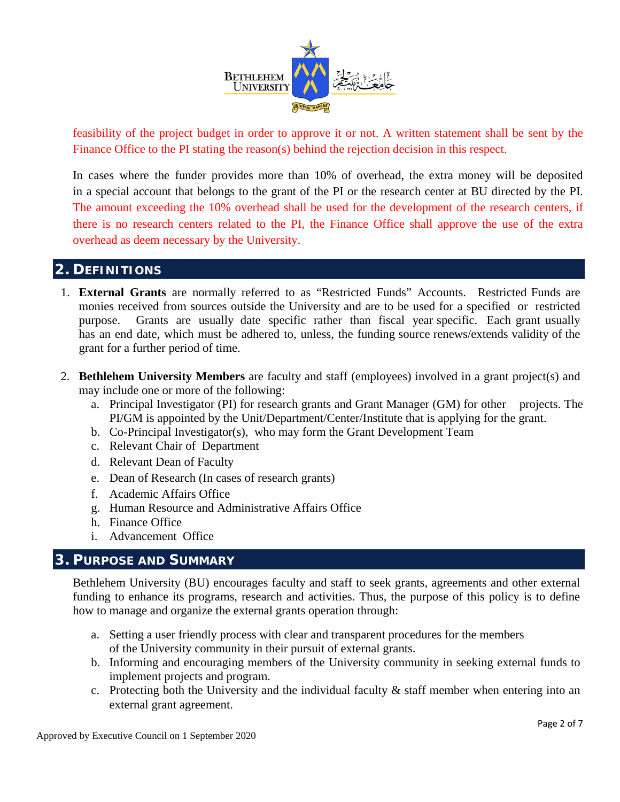

feasibility of the project budget in order to approve it or not. A written statement shall be sent by the Finance Office to the PI stating the reason(s) behind the rejection decision in this respect.

In cases where the funder provides more than 10% of overhead, the extra money will be deposited in a special account that belongs to the grant of the PI or the research center at BU directed by the PI. The amount exceeding the 10% overhead shall be used for the development of the research centers, if there is no research centers related to the PI, the Finance Office shall approve the use of the extra overhead as deem necessary by the University.

# **2. DEFINITIONS**

- 1. **External Grants** are normally referred to as "Restricted Funds" Accounts. Restricted Funds are monies received from sources outside the University and are to be used for a specified or restricted purpose. Grants are usually date specific rather than fiscal year specific. Each grant usually has an end date, which must be adhered to, unless, the funding source renews/extends validity of the grant for a further period of time.
- 2. **Bethlehem University Members** are faculty and staff (employees) involved in a grant project(s) and may include one or more of the following:
	- a. Principal Investigator (PI) for research grants and Grant Manager (GM) for other projects. The PI/GM is appointed by the Unit/Department/Center/Institute that is applying for the grant.
	- b. Co-Principal Investigator(s), who may form the Grant Development Team
	- c. Relevant Chair of Department
	- d. Relevant Dean of Faculty
	- e. Dean of Research (In cases of research grants)
	- f. Academic Affairs Office
	- g. Human Resource and Administrative Affairs Office
	- h. Finance Office
	- i. Advancement Office

## **3. PURPOSE AND SUMMARY**

Bethlehem University (BU) encourages faculty and staff to seek grants, agreements and other external funding to enhance its programs, research and activities. Thus, the purpose of this policy is to define how to manage and organize the external grants operation through:

- a. Setting a user friendly process with clear and transparent procedures for the members of the University community in their pursuit of external grants.
- b. Informing and encouraging members of the University community in seeking external funds to implement projects and program.
- c. Protecting both the University and the individual faculty & staff member when entering into an external grant agreement.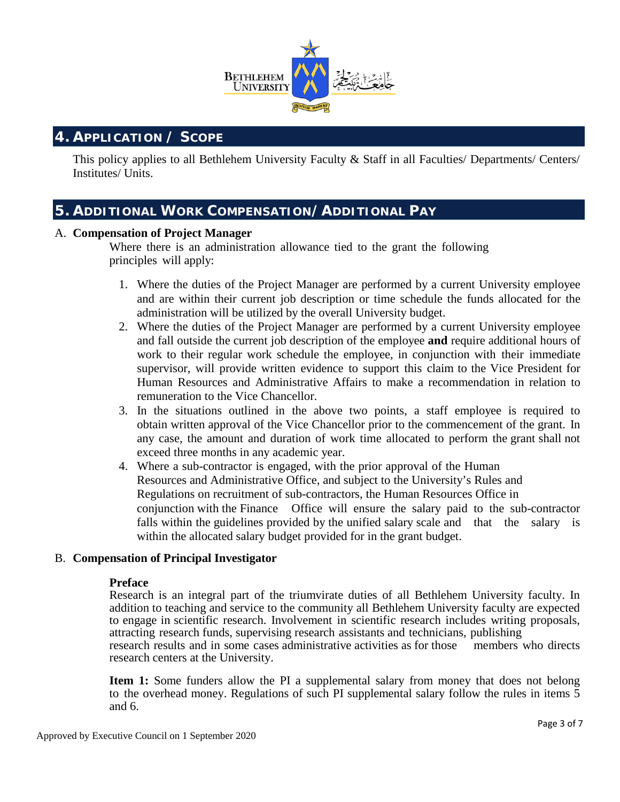

# **4. APPLICATION / SCOPE**

This policy applies to all Bethlehem University Faculty & Staff in all Faculties/ Departments/ Centers/ Institutes/ Units.

# **5. ADDITIONAL WORK COMPENSATION/ADDITIONAL PAY**

#### A. **Compensation of Project Manager**

Where there is an administration allowance tied to the grant the following principles will apply:

- 1. Where the duties of the Project Manager are performed by a current University employee and are within their current job description or time schedule the funds allocated for the administration will be utilized by the overall University budget.
- 2. Where the duties of the Project Manager are performed by a current University employee and fall outside the current job description of the employee **and** require additional hours of work to their regular work schedule the employee, in conjunction with their immediate supervisor, will provide written evidence to support this claim to the Vice President for Human Resources and Administrative Affairs to make a recommendation in relation to remuneration to the Vice Chancellor.
- 3. In the situations outlined in the above two points, a staff employee is required to obtain written approval of the Vice Chancellor prior to the commencement of the grant. In any case, the amount and duration of work time allocated to perform the grant shall not exceed three months in any academic year.
- 4. Where a sub-contractor is engaged, with the prior approval of the Human Resources and Administrative Office, and subject to the University's Rules and Regulations on recruitment of sub-contractors, the Human Resources Office in conjunction with the Finance Office will ensure the salary paid to the sub-contractor falls within the guidelines provided by the unified salary scale and that the salary is within the allocated salary budget provided for in the grant budget.

#### B. **Compensation of Principal Investigator**

#### **Preface**

Research is an integral part of the triumvirate duties of all Bethlehem University faculty. In addition to teaching and service to the community all Bethlehem University faculty are expected to engage in scientific research. Involvement in scientific research includes writing proposals, attracting research funds, supervising research assistants and technicians, publishing research results and in some cases administrative activities as for those members who directs research centers at the University.

**Item 1:** Some funders allow the PI a supplemental salary from money that does not belong to the overhead money. Regulations of such PI supplemental salary follow the rules in items 5 and 6.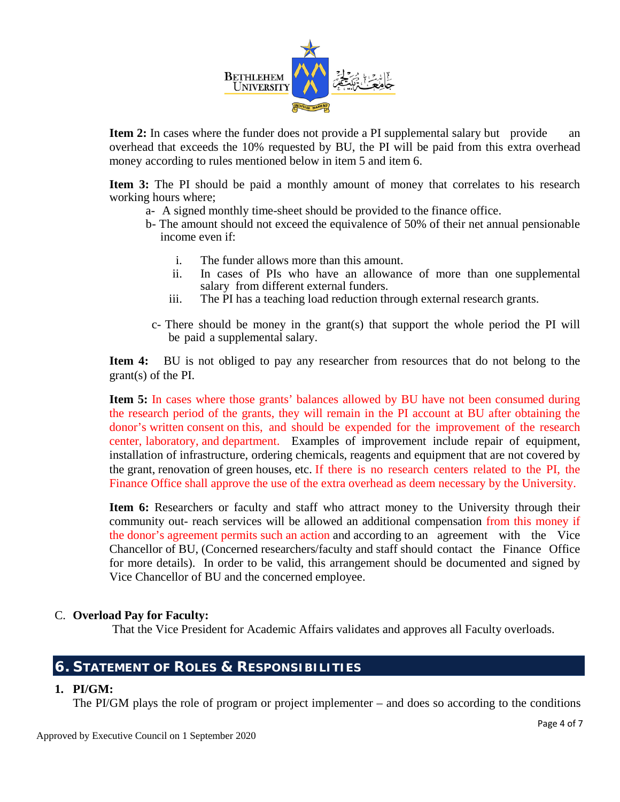

**Item 2:** In cases where the funder does not provide a PI supplemental salary but provide an overhead that exceeds the 10% requested by BU, the PI will be paid from this extra overhead money according to rules mentioned below in item 5 and item 6.

**Item 3:** The PI should be paid a monthly amount of money that correlates to his research working hours where;

- a- A signed monthly time-sheet should be provided to the finance office.
- b- The amount should not exceed the equivalence of 50% of their net annual pensionable income even if:
	- i. The funder allows more than this amount.<br>ii In cases of PIs who have an allowance
	- In cases of PIs who have an allowance of more than one supplemental salary from different external funders.
	- iii. The PI has a teaching load reduction through external research grants.
- c- There should be money in the grant(s) that support the whole period the PI will be paid a supplemental salary.

**Item 4:** BU is not obliged to pay any researcher from resources that do not belong to the grant(s) of the PI.

**Item 5:** In cases where those grants' balances allowed by BU have not been consumed during the research period of the grants, they will remain in the PI account at BU after obtaining the donor's written consent on this, and should be expended for the improvement of the research center, laboratory, and department. Examples of improvement include repair of equipment, installation of infrastructure, ordering chemicals, reagents and equipment that are not covered by the grant, renovation of green houses, etc. If there is no research centers related to the PI, the Finance Office shall approve the use of the extra overhead as deem necessary by the University.

**Item 6:** Researchers or faculty and staff who attract money to the University through their community out- reach services will be allowed an additional compensation from this money if the donor's agreement permits such an action and according to an agreement with the Vice Chancellor of BU, (Concerned researchers/faculty and staff should contact the Finance Office for more details). In order to be valid, this arrangement should be documented and signed by Vice Chancellor of BU and the concerned employee.

#### C. **Overload Pay for Faculty:**

That the Vice President for Academic Affairs validates and approves all Faculty overloads.

## **6. STATEMENT OF ROLES & RESPONSIBILITIES**

#### **1. PI/GM:**

The PI/GM plays the role of program or project implementer – and does so according to the conditions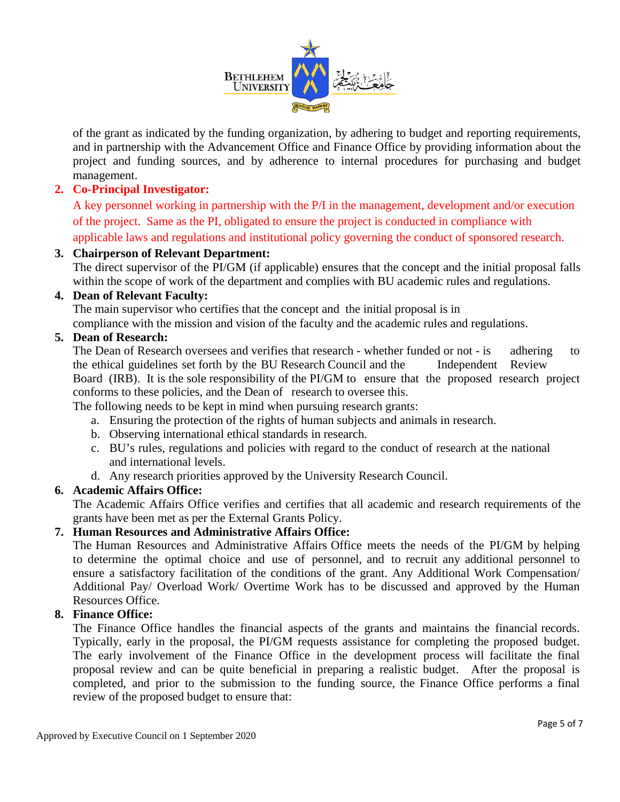

of the grant as indicated by the funding organization, by adhering to budget and reporting requirements, and in partnership with the Advancement Office and Finance Office by providing information about the project and funding sources, and by adherence to internal procedures for purchasing and budget management.

## **2. Co-Principal Investigator:**

A key personnel working in partnership with the P/I in the management, development and/or execution of the project. Same as the PI, obligated to ensure the project is conducted in compliance with applicable laws and regulations and institutional policy governing the conduct of sponsored research.

## **3. Chairperson of Relevant Department:**

The direct supervisor of the PI/GM (if applicable) ensures that the concept and the initial proposal falls within the scope of work of the department and complies with BU academic rules and regulations.

## **4. Dean of Relevant Faculty:**

The main supervisor who certifies that the concept and the initial proposal is in compliance with the mission and vision of the faculty and the academic rules and regulations.

## **5. Dean of Research:**

The Dean of Research oversees and verifies that research - whether funded or not - is adhering to the ethical guidelines set forth by the BU Research Council and the Independent Review Board (IRB). It is the sole responsibility of the PI/GM to ensure that the proposed research project conforms to these policies, and the Dean of research to oversee this.

The following needs to be kept in mind when pursuing research grants:

- a. Ensuring the protection of the rights of human subjects and animals in research.
- b. Observing international ethical standards in research.
- c. BU's rules, regulations and policies with regard to the conduct of research at the national and international levels.
- d. Any research priorities approved by the University Research Council.

## **6. Academic Affairs Office:**

The Academic Affairs Office verifies and certifies that all academic and research requirements of the grants have been met as per the External Grants Policy.

## **7. Human Resources and Administrative Affairs Office:**

The Human Resources and Administrative Affairs Office meets the needs of the PI/GM by helping to determine the optimal choice and use of personnel, and to recruit any additional personnel to ensure a satisfactory facilitation of the conditions of the grant. Any Additional Work Compensation/ Additional Pay/ Overload Work/ Overtime Work has to be discussed and approved by the Human Resources Office.

## **8. Finance Office:**

The Finance Office handles the financial aspects of the grants and maintains the financial records. Typically, early in the proposal, the PI/GM requests assistance for completing the proposed budget. The early involvement of the Finance Office in the development process will facilitate the final proposal review and can be quite beneficial in preparing a realistic budget. After the proposal is completed, and prior to the submission to the funding source, the Finance Office performs a final review of the proposed budget to ensure that: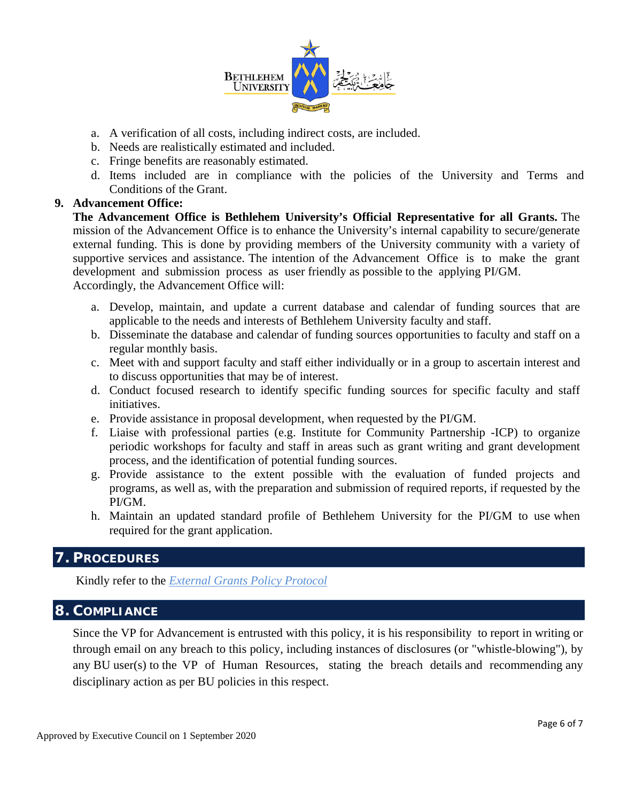

- a. A verification of all costs, including indirect costs, are included.
- b. Needs are realistically estimated and included.
- c. Fringe benefits are reasonably estimated.
- d. Items included are in compliance with the policies of the University and Terms and Conditions of the Grant.

#### **9. Advancement Office:**

**The Advancement Office is Bethlehem University's Official Representative for all Grants.** The mission of the Advancement Office is to enhance the University's internal capability to secure/generate external funding. This is done by providing members of the University community with a variety of supportive services and assistance. The intention of the Advancement Office is to make the grant development and submission process as user friendly as possible to the applying PI/GM. Accordingly, the Advancement Office will:

- a. Develop, maintain, and update a current database and calendar of funding sources that are applicable to the needs and interests of Bethlehem University faculty and staff.
- b. Disseminate the database and calendar of funding sources opportunities to faculty and staff on a regular monthly basis.
- c. Meet with and support faculty and staff either individually or in a group to ascertain interest and to discuss opportunities that may be of interest.
- d. Conduct focused research to identify specific funding sources for specific faculty and staff initiatives.
- e. Provide assistance in proposal development, when requested by the PI/GM.
- f. Liaise with professional parties (e.g. Institute for Community Partnership -ICP) to organize periodic workshops for faculty and staff in areas such as grant writing and grant development process, and the identification of potential funding sources.
- g. Provide assistance to the extent possible with the evaluation of funded projects and programs, as well as, with the preparation and submission of required reports, if requested by the PI/GM.
- h. Maintain an updated standard profile of Bethlehem University for the PI/GM to use when required for the grant application.

# **7. PROCEDURES**

Kindly refer to the *External Grants Policy Protocol*

# **8. COMPLIANCE**

Since the VP for Advancement is entrusted with this policy, it is his responsibility to report in writing or through email on any breach to this policy, including instances of disclosures (or "whistle-blowing"), by any BU user(s) to the VP of Human Resources, stating the breach details and recommending any disciplinary action as per BU policies in this respect.